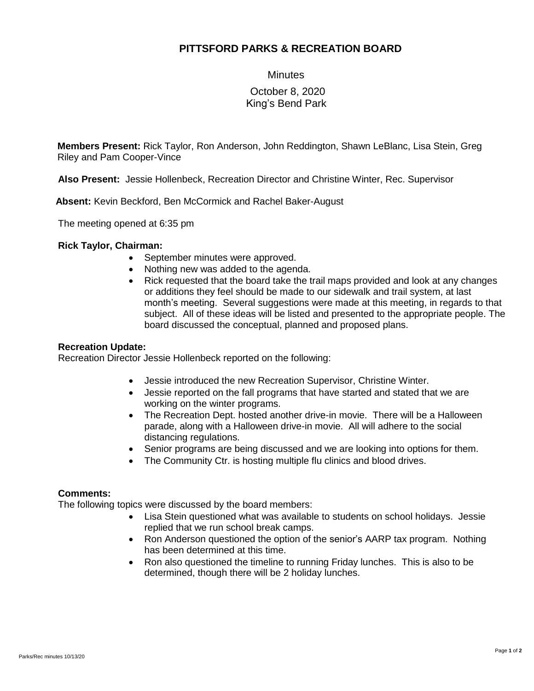# **PITTSFORD PARKS & RECREATION BOARD**

**Minutes** 

## October 8, 2020 King's Bend Park

**Members Present:** Rick Taylor, Ron Anderson, John Reddington, Shawn LeBlanc, Lisa Stein, Greg Riley and Pam Cooper-Vince

**Also Present:** Jessie Hollenbeck, Recreation Director and Christine Winter, Rec. Supervisor

 **Absent:** Kevin Beckford, Ben McCormick and Rachel Baker-August

The meeting opened at 6:35 pm

### **Rick Taylor, Chairman:**

- September minutes were approved.
- Nothing new was added to the agenda.
- Rick requested that the board take the trail maps provided and look at any changes or additions they feel should be made to our sidewalk and trail system, at last month's meeting. Several suggestions were made at this meeting, in regards to that subject. All of these ideas will be listed and presented to the appropriate people. The board discussed the conceptual, planned and proposed plans.

#### **Recreation Update:**

Recreation Director Jessie Hollenbeck reported on the following:

- Jessie introduced the new Recreation Supervisor, Christine Winter.
- Jessie reported on the fall programs that have started and stated that we are working on the winter programs.
- The Recreation Dept. hosted another drive-in movie. There will be a Halloween parade, along with a Halloween drive-in movie. All will adhere to the social distancing regulations.
- Senior programs are being discussed and we are looking into options for them.
- The Community Ctr. is hosting multiple flu clinics and blood drives.

### **Comments:**

The following topics were discussed by the board members:

- Lisa Stein questioned what was available to students on school holidays. Jessie replied that we run school break camps.
- Ron Anderson questioned the option of the senior's AARP tax program. Nothing has been determined at this time.
- Ron also questioned the timeline to running Friday lunches. This is also to be determined, though there will be 2 holiday lunches.